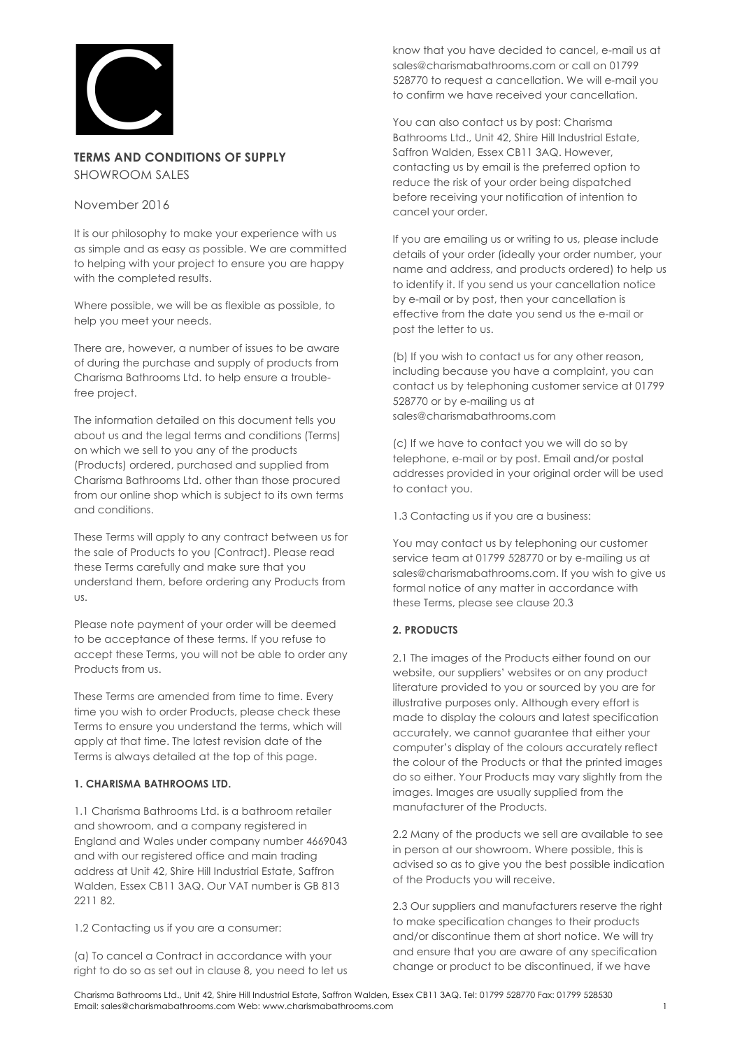

# **TERMS AND CONDITIONS OF SUPPLY** SHOWROOM SALES

### November 2016

It is our philosophy to make your experience with us as simple and as easy as possible. We are committed to helping with your project to ensure you are happy with the completed results.

Where possible, we will be as flexible as possible, to help you meet your needs.

There are, however, a number of issues to be aware of during the purchase and supply of products from Charisma Bathrooms Ltd. to help ensure a troublefree project.

The information detailed on this document tells you about us and the legal terms and conditions (Terms) on which we sell to you any of the products (Products) ordered, purchased and supplied from Charisma Bathrooms Ltd. other than those procured from our online shop which is subject to its own terms and conditions.

These Terms will apply to any contract between us for the sale of Products to you (Contract). Please read these Terms carefully and make sure that you understand them, before ordering any Products from us.

Please note payment of your order will be deemed to be acceptance of these terms. If you refuse to accept these Terms, you will not be able to order any Products from us.

These Terms are amended from time to time. Every time you wish to order Products, please check these Terms to ensure you understand the terms, which will apply at that time. The latest revision date of the Terms is always detailed at the top of this page.

## **1. CHARISMA BATHROOMS LTD.**

1.1 Charisma Bathrooms Ltd. is a bathroom retailer and showroom, and a company registered in England and Wales under company number 4669043 and with our registered office and main trading address at Unit 42, Shire Hill Industrial Estate, Saffron Walden, Essex CB11 3AQ. Our VAT number is GB 813 2211 82.

1.2 Contacting us if you are a consumer:

(a) To cancel a Contract in accordance with your right to do so as set out in clause 8, you need to let us

know that you have decided to cancel, e-mail us at sales@charismabathrooms.com or call on 01799 528770 to request a cancellation. We will e-mail you to confirm we have received your cancellation.

You can also contact us by post: Charisma Bathrooms Ltd., Unit 42, Shire Hill Industrial Estate, Saffron Walden, Essex CB11 3AQ. However, contacting us by email is the preferred option to reduce the risk of your order being dispatched before receiving your notification of intention to cancel your order.

If you are emailing us or writing to us, please include details of your order (ideally your order number, your name and address, and products ordered) to help us to identify it. If you send us your cancellation notice by e-mail or by post, then your cancellation is effective from the date you send us the e-mail or post the letter to us.

(b) If you wish to contact us for any other reason, including because you have a complaint, you can contact us by telephoning customer service at 01799 528770 or by e-mailing us at sales@charismabathrooms.com

(c) If we have to contact you we will do so by telephone, e-mail or by post. Email and/or postal addresses provided in your original order will be used to contact you.

1.3 Contacting us if you are a business:

You may contact us by telephoning our customer service team at 01799 528770 or by e-mailing us at sales@charismabathrooms.com. If you wish to give us formal notice of any matter in accordance with these Terms, please see clause 20.3

## **2. PRODUCTS**

2.1 The images of the Products either found on our website, our suppliers' websites or on any product literature provided to you or sourced by you are for illustrative purposes only. Although every effort is made to display the colours and latest specification accurately, we cannot guarantee that either your computer's display of the colours accurately reflect the colour of the Products or that the printed images do so either. Your Products may vary slightly from the images. Images are usually supplied from the manufacturer of the Products.

2.2 Many of the products we sell are available to see in person at our showroom. Where possible, this is advised so as to give you the best possible indication of the Products you will receive.

2.3 Our suppliers and manufacturers reserve the right to make specification changes to their products and/or discontinue them at short notice. We will try and ensure that you are aware of any specification change or product to be discontinued, if we have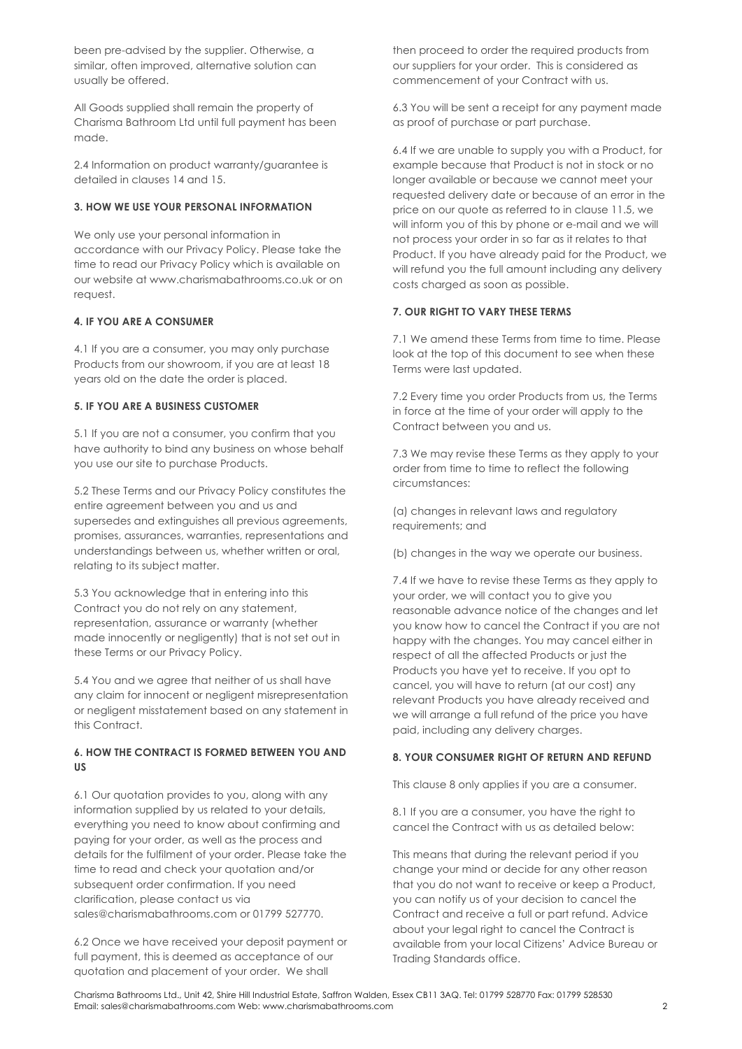been pre-advised by the supplier. Otherwise, a similar, often improved, alternative solution can usually be offered.

All Goods supplied shall remain the property of Charisma Bathroom Ltd until full payment has been made.

2.4 Information on product warranty/guarantee is detailed in clauses 14 and 15.

### **3. HOW WE USE YOUR PERSONAL INFORMATION**

We only use your personal information in accordance with our Privacy Policy. Please take the time to read our Privacy Policy which is available on our website at www.charismabathrooms.co.uk or on request.

#### **4. IF YOU ARE A CONSUMER**

4.1 If you are a consumer, you may only purchase Products from our showroom, if you are at least 18 years old on the date the order is placed.

#### **5. IF YOU ARE A BUSINESS CUSTOMER**

5.1 If you are not a consumer, you confirm that you have authority to bind any business on whose behalf you use our site to purchase Products.

5.2 These Terms and our Privacy Policy constitutes the entire agreement between you and us and supersedes and extinguishes all previous agreements, promises, assurances, warranties, representations and understandings between us, whether written or oral, relating to its subject matter.

5.3 You acknowledge that in entering into this Contract you do not rely on any statement, representation, assurance or warranty (whether made innocently or negligently) that is not set out in these Terms or our Privacy Policy.

5.4 You and we agree that neither of us shall have any claim for innocent or negligent misrepresentation or negligent misstatement based on any statement in this Contract.

### **6. HOW THE CONTRACT IS FORMED BETWEEN YOU AND US**

6.1 Our quotation provides to you, along with any information supplied by us related to your details, everything you need to know about confirming and paying for your order, as well as the process and details for the fulfilment of your order. Please take the time to read and check your quotation and/or subsequent order confirmation. If you need clarification, please contact us via sales@charismabathrooms.com or 01799 527770.

6.2 Once we have received your deposit payment or full payment, this is deemed as acceptance of our quotation and placement of your order. We shall

then proceed to order the required products from our suppliers for your order. This is considered as commencement of your Contract with us.

6.3 You will be sent a receipt for any payment made as proof of purchase or part purchase.

6.4 If we are unable to supply you with a Product, for example because that Product is not in stock or no longer available or because we cannot meet your requested delivery date or because of an error in the price on our quote as referred to in clause 11.5, we will inform you of this by phone or e-mail and we will not process your order in so far as it relates to that Product. If you have already paid for the Product, we will refund you the full amount including any delivery costs charged as soon as possible.

### **7. OUR RIGHT TO VARY THESE TERMS**

7.1 We amend these Terms from time to time. Please look at the top of this document to see when these Terms were last updated.

7.2 Every time you order Products from us, the Terms in force at the time of your order will apply to the Contract between you and us.

7.3 We may revise these Terms as they apply to your order from time to time to reflect the following circumstances:

(a) changes in relevant laws and regulatory requirements; and

(b) changes in the way we operate our business.

7.4 If we have to revise these Terms as they apply to your order, we will contact you to give you reasonable advance notice of the changes and let you know how to cancel the Contract if you are not happy with the changes. You may cancel either in respect of all the affected Products or just the Products you have yet to receive. If you opt to cancel, you will have to return (at our cost) any relevant Products you have already received and we will arrange a full refund of the price you have paid, including any delivery charges.

#### **8. YOUR CONSUMER RIGHT OF RETURN AND REFUND**

This clause 8 only applies if you are a consumer.

8.1 If you are a consumer, you have the right to cancel the Contract with us as detailed below:

This means that during the relevant period if you change your mind or decide for any other reason that you do not want to receive or keep a Product, you can notify us of your decision to cancel the Contract and receive a full or part refund. Advice about your legal right to cancel the Contract is available from your local Citizens' Advice Bureau or Trading Standards office.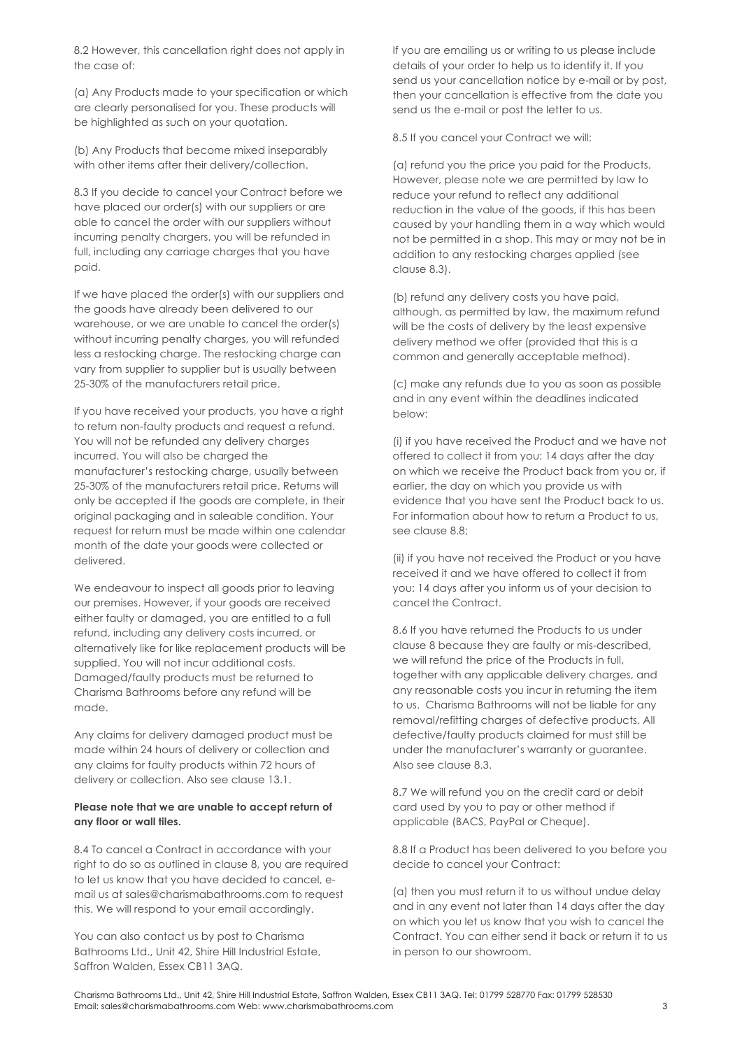8.2 However, this cancellation right does not apply in the case of:

(a) Any Products made to your specification or which are clearly personalised for you. These products will be highlighted as such on your quotation.

(b) Any Products that become mixed inseparably with other items after their delivery/collection.

8.3 If you decide to cancel your Contract before we have placed our order(s) with our suppliers or are able to cancel the order with our suppliers without incurring penalty chargers, you will be refunded in full, including any carriage charges that you have paid.

If we have placed the order(s) with our suppliers and the goods have already been delivered to our warehouse, or we are unable to cancel the order(s) without incurring penalty charges, you will refunded less a restocking charge. The restocking charge can vary from supplier to supplier but is usually between 25-30% of the manufacturers retail price.

If you have received your products, you have a right to return non-faulty products and request a refund. You will not be refunded any delivery charges incurred. You will also be charged the manufacturer's restocking charge, usually between 25-30% of the manufacturers retail price. Returns will only be accepted if the goods are complete, in their original packaging and in saleable condition. Your request for return must be made within one calendar month of the date your goods were collected or delivered.

We endeavour to inspect all goods prior to leaving our premises. However, if your goods are received either faulty or damaged, you are entitled to a full refund, including any delivery costs incurred, or alternatively like for like replacement products will be supplied. You will not incur additional costs. Damaged/faulty products must be returned to Charisma Bathrooms before any refund will be made.

Any claims for delivery damaged product must be made within 24 hours of delivery or collection and any claims for faulty products within 72 hours of delivery or collection. Also see clause 13.1.

#### **Please note that we are unable to accept return of any floor or wall tiles.**

8.4 To cancel a Contract in accordance with your right to do so as outlined in clause 8, you are required to let us know that you have decided to cancel, email us at sales@charismabathrooms.com to request this. We will respond to your email accordingly.

You can also contact us by post to Charisma Bathrooms Ltd., Unit 42, Shire Hill Industrial Estate, Saffron Walden, Essex CB11 3AQ.

If you are emailing us or writing to us please include details of your order to help us to identify it. If you send us your cancellation notice by e-mail or by post, then your cancellation is effective from the date you send us the e-mail or post the letter to us.

8.5 If you cancel your Contract we will:

(a) refund you the price you paid for the Products. However, please note we are permitted by law to reduce your refund to reflect any additional reduction in the value of the goods, if this has been caused by your handling them in a way which would not be permitted in a shop. This may or may not be in addition to any restocking charges applied (see clause 8.3).

(b) refund any delivery costs you have paid, although, as permitted by law, the maximum refund will be the costs of delivery by the least expensive delivery method we offer (provided that this is a common and generally acceptable method).

(c) make any refunds due to you as soon as possible and in any event within the deadlines indicated below:

(i) if you have received the Product and we have not offered to collect it from you: 14 days after the day on which we receive the Product back from you or, if earlier, the day on which you provide us with evidence that you have sent the Product back to us. For information about how to return a Product to us, see clause 8.8;

(ii) if you have not received the Product or you have received it and we have offered to collect it from you: 14 days after you inform us of your decision to cancel the Contract.

8.6 If you have returned the Products to us under clause 8 because they are faulty or mis-described, we will refund the price of the Products in full, together with any applicable delivery charges, and any reasonable costs you incur in returning the item to us. Charisma Bathrooms will not be liable for any removal/refitting charges of defective products. All defective/faulty products claimed for must still be under the manufacturer's warranty or guarantee. Also see clause 8.3.

8.7 We will refund you on the credit card or debit card used by you to pay or other method if applicable (BACS, PayPal or Cheque).

8.8 If a Product has been delivered to you before you decide to cancel your Contract:

(a) then you must return it to us without undue delay and in any event not later than 14 days after the day on which you let us know that you wish to cancel the Contract. You can either send it back or return it to us in person to our showroom.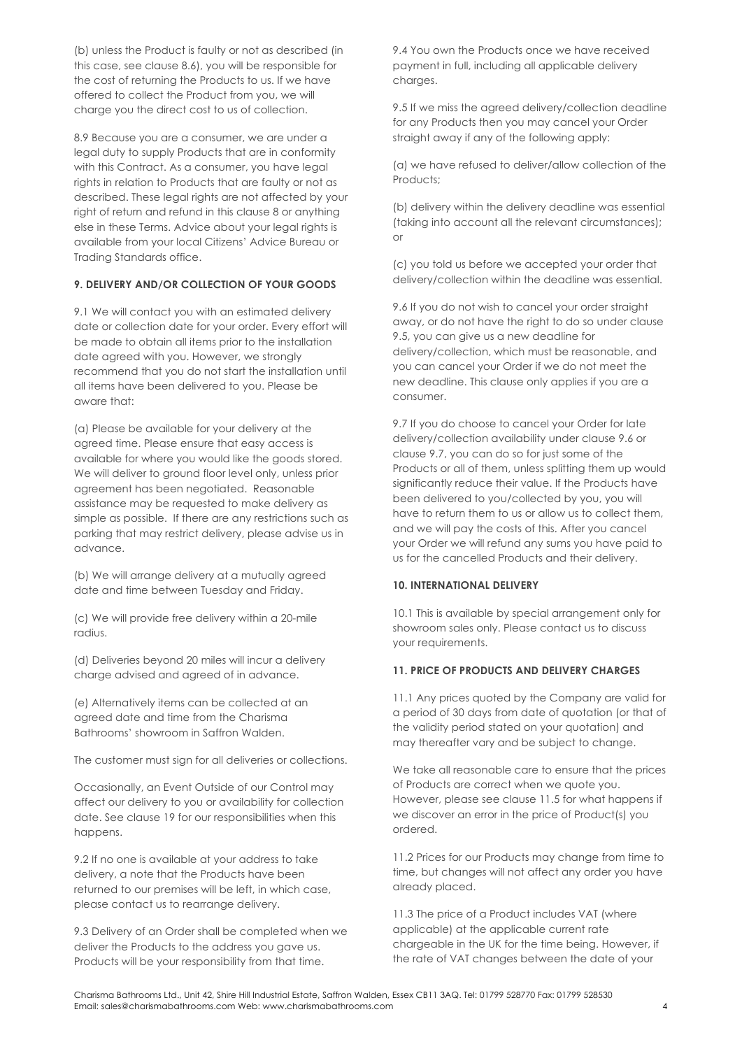(b) unless the Product is faulty or not as described (in this case, see clause 8.6), you will be responsible for the cost of returning the Products to us. If we have offered to collect the Product from you, we will charge you the direct cost to us of collection.

8.9 Because you are a consumer, we are under a legal duty to supply Products that are in conformity with this Contract. As a consumer, you have legal rights in relation to Products that are faulty or not as described. These legal rights are not affected by your right of return and refund in this clause 8 or anything else in these Terms. Advice about your legal rights is available from your local Citizens' Advice Bureau or Trading Standards office.

### **9. DELIVERY AND/OR COLLECTION OF YOUR GOODS**

9.1 We will contact you with an estimated delivery date or collection date for your order. Every effort will be made to obtain all items prior to the installation date agreed with you. However, we strongly recommend that you do not start the installation until all items have been delivered to you. Please be aware that:

(a) Please be available for your delivery at the agreed time. Please ensure that easy access is available for where you would like the goods stored. We will deliver to ground floor level only, unless prior agreement has been negotiated. Reasonable assistance may be requested to make delivery as simple as possible. If there are any restrictions such as parking that may restrict delivery, please advise us in advance.

(b) We will arrange delivery at a mutually agreed date and time between Tuesday and Friday.

(c) We will provide free delivery within a 20-mile radius.

(d) Deliveries beyond 20 miles will incur a delivery charge advised and agreed of in advance.

(e) Alternatively items can be collected at an agreed date and time from the Charisma Bathrooms' showroom in Saffron Walden.

The customer must sign for all deliveries or collections.

Occasionally, an Event Outside of our Control may affect our delivery to you or availability for collection date. See clause 19 for our responsibilities when this happens.

9.2 If no one is available at your address to take delivery, a note that the Products have been returned to our premises will be left, in which case, please contact us to rearrange delivery.

9.3 Delivery of an Order shall be completed when we deliver the Products to the address you gave us. Products will be your responsibility from that time.

9.4 You own the Products once we have received payment in full, including all applicable delivery charges.

9.5 If we miss the agreed delivery/collection deadline for any Products then you may cancel your Order straight away if any of the following apply:

(a) we have refused to deliver/allow collection of the Products;

(b) delivery within the delivery deadline was essential (taking into account all the relevant circumstances); or

(c) you told us before we accepted your order that delivery/collection within the deadline was essential.

9.6 If you do not wish to cancel your order straight away, or do not have the right to do so under clause 9.5, you can give us a new deadline for delivery/collection, which must be reasonable, and you can cancel your Order if we do not meet the new deadline. This clause only applies if you are a consumer.

9.7 If you do choose to cancel your Order for late delivery/collection availability under clause 9.6 or clause 9.7, you can do so for just some of the Products or all of them, unless splitting them up would significantly reduce their value. If the Products have been delivered to you/collected by you, you will have to return them to us or allow us to collect them, and we will pay the costs of this. After you cancel your Order we will refund any sums you have paid to us for the cancelled Products and their delivery.

#### **10. INTERNATIONAL DELIVERY**

10.1 This is available by special arrangement only for showroom sales only. Please contact us to discuss your requirements.

#### **11. PRICE OF PRODUCTS AND DELIVERY CHARGES**

11.1 Any prices quoted by the Company are valid for a period of 30 days from date of quotation (or that of the validity period stated on your quotation) and may thereafter vary and be subject to change.

We take all reasonable care to ensure that the prices of Products are correct when we quote you. However, please see clause 11.5 for what happens if we discover an error in the price of Product(s) you ordered.

11.2 Prices for our Products may change from time to time, but changes will not affect any order you have already placed.

11.3 The price of a Product includes VAT (where applicable) at the applicable current rate chargeable in the UK for the time being. However, if the rate of VAT changes between the date of your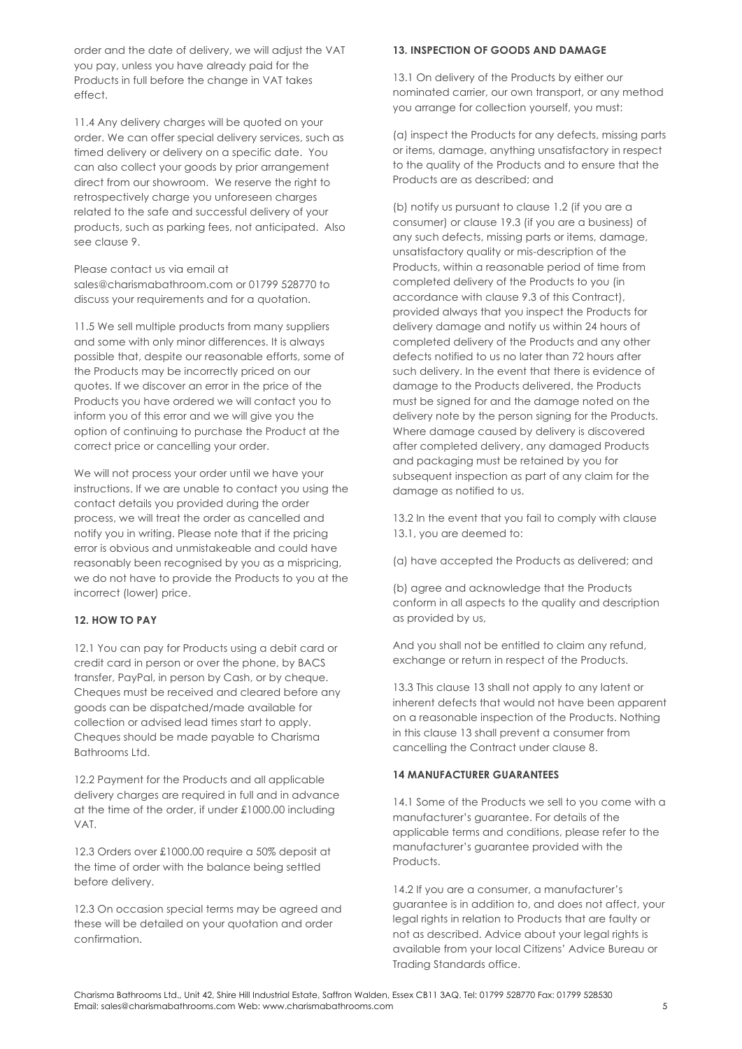order and the date of delivery, we will adjust the VAT you pay, unless you have already paid for the Products in full before the change in VAT takes effect.

11.4 Any delivery charges will be quoted on your order. We can offer special delivery services, such as timed delivery or delivery on a specific date. You can also collect your goods by prior arrangement direct from our showroom. We reserve the right to retrospectively charge you unforeseen charges related to the safe and successful delivery of your products, such as parking fees, not anticipated. Also see clause 9.

Please contact us via email at

sales@charismabathroom.com or 01799 528770 to discuss your requirements and for a quotation.

11.5 We sell multiple products from many suppliers and some with only minor differences. It is always possible that, despite our reasonable efforts, some of the Products may be incorrectly priced on our quotes. If we discover an error in the price of the Products you have ordered we will contact you to inform you of this error and we will give you the option of continuing to purchase the Product at the correct price or cancelling your order.

We will not process your order until we have your instructions. If we are unable to contact you using the contact details you provided during the order process, we will treat the order as cancelled and notify you in writing. Please note that if the pricing error is obvious and unmistakeable and could have reasonably been recognised by you as a mispricing, we do not have to provide the Products to you at the incorrect (lower) price.

### **12. HOW TO PAY**

12.1 You can pay for Products using a debit card or credit card in person or over the phone, by BACS transfer, PayPal, in person by Cash, or by cheque. Cheques must be received and cleared before any goods can be dispatched/made available for collection or advised lead times start to apply. Cheques should be made payable to Charisma Bathrooms Ltd.

12.2 Payment for the Products and all applicable delivery charges are required in full and in advance at the time of the order, if under £1000.00 including VAT.

12.3 Orders over £1000.00 require a 50% deposit at the time of order with the balance being settled before delivery.

12.3 On occasion special terms may be agreed and these will be detailed on your quotation and order confirmation.

#### **13. INSPECTION OF GOODS AND DAMAGE**

13.1 On delivery of the Products by either our nominated carrier, our own transport, or any method you arrange for collection yourself, you must:

(a) inspect the Products for any defects, missing parts or items, damage, anything unsatisfactory in respect to the quality of the Products and to ensure that the Products are as described; and

(b) notify us pursuant to clause 1.2 (if you are a consumer) or clause 19.3 (if you are a business) of any such defects, missing parts or items, damage, unsatisfactory quality or mis-description of the Products, within a reasonable period of time from completed delivery of the Products to you (in accordance with clause 9.3 of this Contract), provided always that you inspect the Products for delivery damage and notify us within 24 hours of completed delivery of the Products and any other defects notified to us no later than 72 hours after such delivery. In the event that there is evidence of damage to the Products delivered, the Products must be signed for and the damage noted on the delivery note by the person signing for the Products. Where damage caused by delivery is discovered after completed delivery, any damaged Products and packaging must be retained by you for subsequent inspection as part of any claim for the damage as notified to us.

13.2 In the event that you fail to comply with clause 13.1, you are deemed to:

(a) have accepted the Products as delivered; and

(b) agree and acknowledge that the Products conform in all aspects to the quality and description as provided by us,

And you shall not be entitled to claim any refund, exchange or return in respect of the Products.

13.3 This clause 13 shall not apply to any latent or inherent defects that would not have been apparent on a reasonable inspection of the Products. Nothing in this clause 13 shall prevent a consumer from cancelling the Contract under clause 8.

#### **14 MANUFACTURER GUARANTEES**

14.1 Some of the Products we sell to you come with a manufacturer's guarantee. For details of the applicable terms and conditions, please refer to the manufacturer's guarantee provided with the Products.

14.2 If you are a consumer, a manufacturer's guarantee is in addition to, and does not affect, your legal rights in relation to Products that are faulty or not as described. Advice about your legal rights is available from your local Citizens' Advice Bureau or Trading Standards office.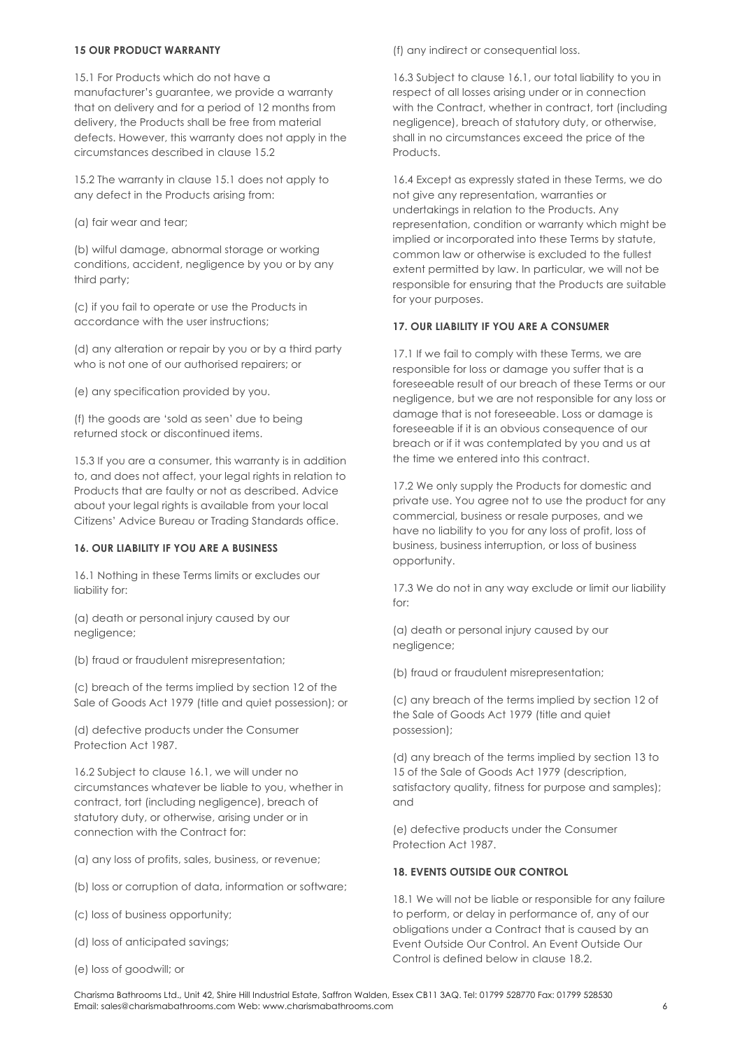#### **15 OUR PRODUCT WARRANTY**

15.1 For Products which do not have a manufacturer's guarantee, we provide a warranty that on delivery and for a period of 12 months from delivery, the Products shall be free from material defects. However, this warranty does not apply in the circumstances described in clause 15.2

15.2 The warranty in clause 15.1 does not apply to any defect in the Products arising from:

(a) fair wear and tear;

(b) wilful damage, abnormal storage or working conditions, accident, negligence by you or by any third party;

(c) if you fail to operate or use the Products in accordance with the user instructions;

(d) any alteration or repair by you or by a third party who is not one of our authorised repairers; or

(e) any specification provided by you.

(f) the goods are 'sold as seen' due to being returned stock or discontinued items.

15.3 If you are a consumer, this warranty is in addition to, and does not affect, your legal rights in relation to Products that are faulty or not as described. Advice about your legal rights is available from your local Citizens' Advice Bureau or Trading Standards office.

#### **16. OUR LIABILITY IF YOU ARE A BUSINESS**

16.1 Nothing in these Terms limits or excludes our liability for:

(a) death or personal injury caused by our negligence;

(b) fraud or fraudulent misrepresentation;

(c) breach of the terms implied by section 12 of the Sale of Goods Act 1979 (title and quiet possession); or

(d) defective products under the Consumer Protection Act 1987.

16.2 Subject to clause 16.1, we will under no circumstances whatever be liable to you, whether in contract, tort (including negligence), breach of statutory duty, or otherwise, arising under or in connection with the Contract for:

(a) any loss of profits, sales, business, or revenue;

- (b) loss or corruption of data, information or software;
- (c) loss of business opportunity;
- (d) loss of anticipated savings;
- (e) loss of goodwill; or

(f) any indirect or consequential loss.

16.3 Subject to clause 16.1, our total liability to you in respect of all losses arising under or in connection with the Contract, whether in contract, tort (including negligence), breach of statutory duty, or otherwise, shall in no circumstances exceed the price of the Products.

16.4 Except as expressly stated in these Terms, we do not give any representation, warranties or undertakings in relation to the Products. Any representation, condition or warranty which might be implied or incorporated into these Terms by statute, common law or otherwise is excluded to the fullest extent permitted by law. In particular, we will not be responsible for ensuring that the Products are suitable for your purposes.

#### **17. OUR LIABILITY IF YOU ARE A CONSUMER**

17.1 If we fail to comply with these Terms, we are responsible for loss or damage you suffer that is a foreseeable result of our breach of these Terms or our negligence, but we are not responsible for any loss or damage that is not foreseeable. Loss or damage is foreseeable if it is an obvious consequence of our breach or if it was contemplated by you and us at the time we entered into this contract.

17.2 We only supply the Products for domestic and private use. You agree not to use the product for any commercial, business or resale purposes, and we have no liability to you for any loss of profit, loss of business, business interruption, or loss of business opportunity.

17.3 We do not in any way exclude or limit our liability for:

(a) death or personal injury caused by our negligence;

(b) fraud or fraudulent misrepresentation;

(c) any breach of the terms implied by section 12 of the Sale of Goods Act 1979 (title and quiet possession);

(d) any breach of the terms implied by section 13 to 15 of the Sale of Goods Act 1979 (description, satisfactory quality, fitness for purpose and samples); and

(e) defective products under the Consumer Protection Act 1987.

### **18. EVENTS OUTSIDE OUR CONTROL**

18.1 We will not be liable or responsible for any failure to perform, or delay in performance of, any of our obligations under a Contract that is caused by an Event Outside Our Control. An Event Outside Our Control is defined below in clause 18.2.

Charisma Bathrooms Ltd., Unit 42, Shire Hill Industrial Estate, Saffron Walden, Essex CB11 3AQ. Tel: 01799 528770 Fax: 01799 528530 Email: sales@charismabathrooms.com Web: www.charismabathrooms.com 6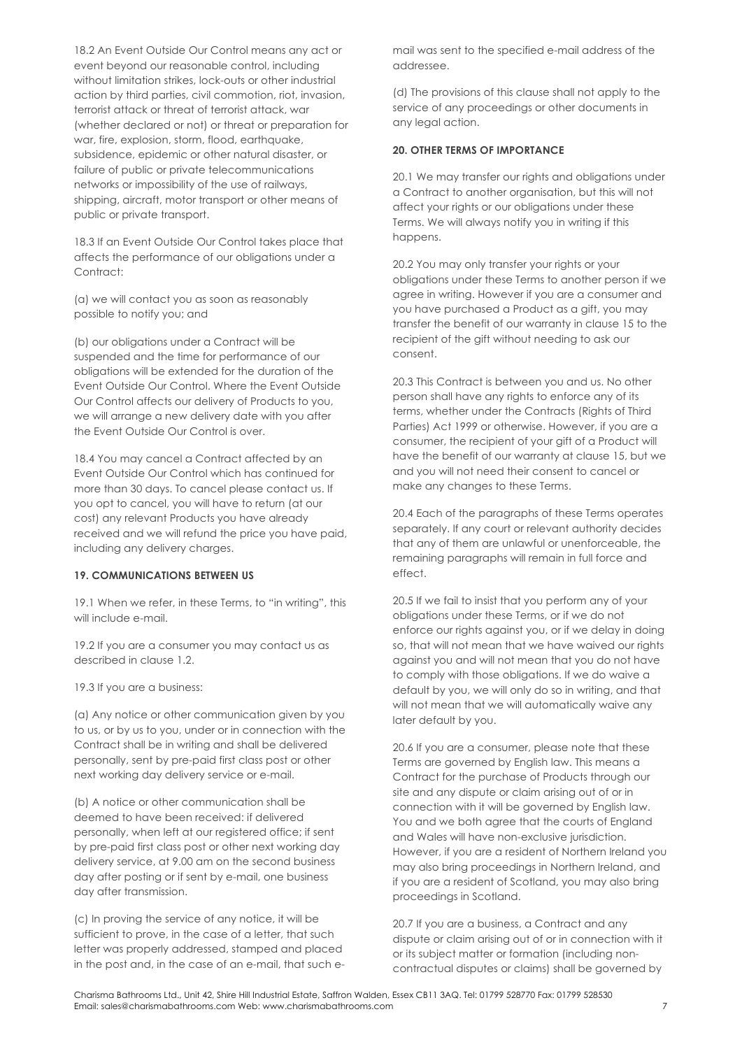18.2 An Event Outside Our Control means any act or event beyond our reasonable control, including without limitation strikes, lock-outs or other industrial action by third parties, civil commotion, riot, invasion, terrorist attack or threat of terrorist attack, war (whether declared or not) or threat or preparation for war, fire, explosion, storm, flood, earthquake, subsidence, epidemic or other natural disaster, or failure of public or private telecommunications networks or impossibility of the use of railways, shipping, aircraft, motor transport or other means of public or private transport.

18.3 If an Event Outside Our Control takes place that affects the performance of our obligations under a Contract<sup>+</sup>

(a) we will contact you as soon as reasonably possible to notify you; and

(b) our obligations under a Contract will be suspended and the time for performance of our obligations will be extended for the duration of the Event Outside Our Control. Where the Event Outside Our Control affects our delivery of Products to you, we will arrange a new delivery date with you after the Event Outside Our Control is over.

18.4 You may cancel a Contract affected by an Event Outside Our Control which has continued for more than 30 days. To cancel please contact us. If you opt to cancel, you will have to return (at our cost) any relevant Products you have already received and we will refund the price you have paid, including any delivery charges.

#### **19. COMMUNICATIONS BETWEEN US**

19.1 When we refer, in these Terms, to "in writing", this will include e-mail.

19.2 If you are a consumer you may contact us as described in clause 1.2.

19.3 If you are a business:

(a) Any notice or other communication given by you to us, or by us to you, under or in connection with the Contract shall be in writing and shall be delivered personally, sent by pre-paid first class post or other next working day delivery service or e-mail.

(b) A notice or other communication shall be deemed to have been received: if delivered personally, when left at our registered office; if sent by pre-paid first class post or other next working day delivery service, at 9.00 am on the second business day after posting or if sent by e-mail, one business day after transmission.

(c) In proving the service of any notice, it will be sufficient to prove, in the case of a letter, that such letter was properly addressed, stamped and placed in the post and, in the case of an e-mail, that such email was sent to the specified e-mail address of the addressee.

(d) The provisions of this clause shall not apply to the service of any proceedings or other documents in any legal action.

#### **20. OTHER TERMS OF IMPORTANCE**

20.1 We may transfer our rights and obligations under a Contract to another organisation, but this will not affect your rights or our obligations under these Terms. We will always notify you in writing if this happens.

20.2 You may only transfer your rights or your obligations under these Terms to another person if we agree in writing. However if you are a consumer and you have purchased a Product as a gift, you may transfer the benefit of our warranty in clause 15 to the recipient of the gift without needing to ask our consent.

20.3 This Contract is between you and us. No other person shall have any rights to enforce any of its terms, whether under the Contracts (Rights of Third Parties) Act 1999 or otherwise. However, if you are a consumer, the recipient of your gift of a Product will have the benefit of our warranty at clause 15, but we and you will not need their consent to cancel or make any changes to these Terms.

20.4 Each of the paragraphs of these Terms operates separately. If any court or relevant authority decides that any of them are unlawful or unenforceable, the remaining paragraphs will remain in full force and effect.

20.5 If we fail to insist that you perform any of your obligations under these Terms, or if we do not enforce our rights against you, or if we delay in doing so, that will not mean that we have waived our rights against you and will not mean that you do not have to comply with those obligations. If we do waive a default by you, we will only do so in writing, and that will not mean that we will automatically waive any later default by you.

20.6 If you are a consumer, please note that these Terms are governed by English law. This means a Contract for the purchase of Products through our site and any dispute or claim arising out of or in connection with it will be governed by English law. You and we both agree that the courts of England and Wales will have non-exclusive jurisdiction. However, if you are a resident of Northern Ireland you may also bring proceedings in Northern Ireland, and if you are a resident of Scotland, you may also bring proceedings in Scotland.

20.7 If you are a business, a Contract and any dispute or claim arising out of or in connection with it or its subject matter or formation (including noncontractual disputes or claims) shall be governed by